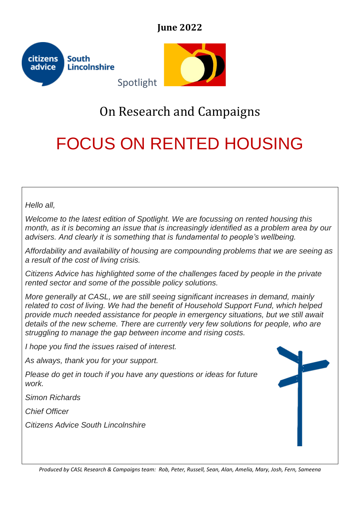## **June 2022**



## On Research and Campaigns

# FOCUS ON RENTED HOUSING

*Hello all,*

*Welcome to the latest edition of Spotlight. We are focussing on rented housing this month, as it is becoming an issue that is increasingly identified as a problem area by our advisers. And clearly it is something that is fundamental to people's wellbeing.*

*Affordability and availability of housing are compounding problems that we are seeing as a result of the cost of living crisis.* 

*Citizens Advice has highlighted some of the challenges faced by people in the private rented sector and some of the possible policy solutions.* 

*More generally at CASL, we are still seeing significant increases in demand, mainly related to cost of living. We had the benefit of Household Support Fund, which helped provide much needed assistance for people in emergency situations, but we still await details of the new scheme. There are currently very few solutions for people, who are struggling to manage the gap between income and rising costs.*

*I hope you find the issues raised of interest.* 

*As always, thank you for your support.* 

*Please do get in touch if you have any questions or ideas for future work.*

*Simon Richards*

*Chief Officer*

*Citizens Advice South Lincolnshire*



*Produced by CASL Research & Campaigns team: Rob, Peter, Russell, Sean, Alan, Amelia, Mary, Josh, Fern, Sameena*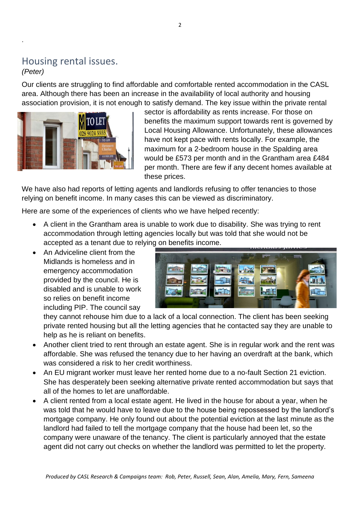## Housing rental issues.

#### *(Peter)*

.

Our clients are struggling to find affordable and comfortable rented accommodation in the CASL area. Although there has been an increase in the availability of local authority and housing association provision, it is not enough to satisfy demand. The key issue within the private rental



sector is affordability as rents increase. For those on benefits the maximum support towards rent is governed by Local Housing Allowance. Unfortunately, these allowances have not kept pace with rents locally. For example, the maximum for a 2-bedroom house in the Spalding area would be £573 per month and in the Grantham area £484 per month. There are few if any decent homes available at these prices.

We have also had reports of letting agents and landlords refusing to offer tenancies to those relying on benefit income. In many cases this can be viewed as discriminatory.

Here are some of the experiences of clients who we have helped recently:

- A client in the Grantham area is unable to work due to disability. She was trying to rent accommodation through letting agencies locally but was told that she would not be accepted as a tenant due to relying on benefits income.
- An Adviceline client from the Midlands is homeless and in emergency accommodation provided by the council. He is disabled and is unable to work so relies on benefit income including PIP. The council say



they cannot rehouse him due to a lack of a local connection. The client has been seeking private rented housing but all the letting agencies that he contacted say they are unable to help as he is reliant on benefits.

- Another client tried to rent through an estate agent. She is in regular work and the rent was affordable. She was refused the tenancy due to her having an overdraft at the bank, which was considered a risk to her credit worthiness.
- An EU migrant worker must leave her rented home due to a no-fault Section 21 eviction. She has desperately been seeking alternative private rented accommodation but says that all of the homes to let are unaffordable.
- A client rented from a local estate agent. He lived in the house for about a year, when he was told that he would have to leave due to the house being repossessed by the landlord's mortgage company. He only found out about the potential eviction at the last minute as the landlord had failed to tell the mortgage company that the house had been let, so the company were unaware of the tenancy. The client is particularly annoyed that the estate agent did not carry out checks on whether the landlord was permitted to let the property.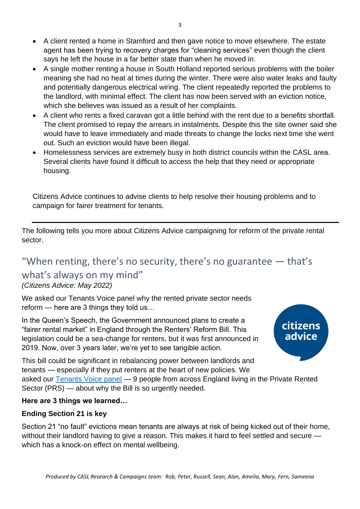- A client rented a home in Stamford and then gave notice to move elsewhere. The estate agent has been trying to recovery charges for "cleaning services" even though the client says he left the house in a far better state than when he moved in.
- A single mother renting a house in South Holland reported serious problems with the boiler meaning she had no heat at times during the winter. There were also water leaks and faulty and potentially dangerous electrical wiring. The client repeatedly reported the problems to the landlord, with minimal effect. The client has now been served with an eviction notice, which she believes was issued as a result of her complaints.
- A client who rents a fixed caravan got a little behind with the rent due to a benefits shortfall. The client promised to repay the arrears in instalments. Despite this the site owner said she would have to leave immediately and made threats to change the locks next time she went out. Such an eviction would have been illegal.
- Homelessness services are extremely busy in both district councils within the CASL area. Several clients have found it difficult to access the help that they need or appropriate housing.

Citizens Advice continues to advise clients to help resolve their housing problems and to campaign for fairer treatment for tenants.

The following tells you more about Citizens Advice campaigning for reform of the private rental sector.

## "When renting, there's no security, there's no guarantee — that's

## what's always on my mind"

#### *(Citizens Advice: May 2022)*

We asked our Tenants Voice panel why the rented private sector needs reform — here are 3 things they told us…

In the Queen's Speech, the Government announced plans to create a "fairer rental market" in England through the Renters' Reform Bill. This legislation could be a sea-change for renters, but it was first announced in 2019. Now, over 3 years later, we're yet to see tangible action.



This bill could be significant in rebalancing power between landlords and tenants — especially if they put renters at the heart of new policies. We asked our [Tenants Voice panel](https://wearecitizensadvice.org.uk/as-a-renter-you-never-truly-feel-at-home-51e5908a77b2) — 9 people from across England living in the Private Rented Sector (PRS) — about why the Bill is so urgently needed.

#### **Here are 3 things we learned…**

#### **Ending Section 21 is key**

Section 21 "no fault" evictions mean tenants are always at risk of being kicked out of their home, without their landlord having to give a reason. This makes it hard to feel settled and secure which has a knock-on effect on mental wellbeing.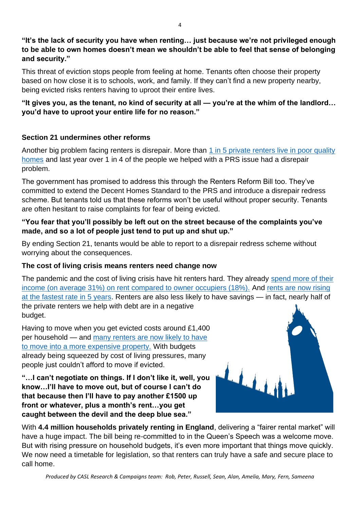**"It's the lack of security you have when renting… just because we're not privileged enough to be able to own homes doesn't mean we shouldn't be able to feel that sense of belonging and security."**

This threat of eviction stops people from feeling at home. Tenants often choose their property based on how close it is to schools, work, and family. If they can't find a new property nearby, being evicted risks renters having to uproot their entire lives.

#### **"It gives you, as the tenant, no kind of security at all — you're at the whim of the landlord… you'd have to uproot your entire life for no reason."**

#### **Section 21 undermines other reforms**

Another big problem facing renters is disrepair. More than 1 in 5 private renters live in poor quality [homes](https://www.gov.uk/government/news/government-to-deliver-new-deal-for-renters) and last year over 1 in 4 of the people we helped with a PRS issue had a disrepair problem.

The government has promised to address this through the Renters Reform Bill too. They've committed to extend the Decent Homes Standard to the PRS and introduce a disrepair redress scheme. But tenants told us that these reforms won't be useful without proper security. Tenants are often hesitant to raise complaints for fear of being evicted.

#### **"You fear that you'll possibly be left out on the street because of the complaints you've made, and so a lot of people just tend to put up and shut up."**

By ending Section 21, tenants would be able to report to a disrepair redress scheme without worrying about the consequences.

#### **The cost of living crisis means renters need change now**

The pandemic and the cost of living crisis have hit renters hard. They already spend more of their [income \(on average 31%\) on rent compared to owner occupiers \(18%\).](https://www.citizensadvice.org.uk/about-us/our-work/policy/policy-research-topics/housing-policy-research/a-building-crisis-the-impact-of-cost-of-living-pressures-on-private-renters/) And [rents are now rising](https://www.ons.gov.uk/economy/inflationandpriceindices/bulletins/indexofprivatehousingrentalprices/january2022)  [at the fastest rate in 5 years.](https://www.ons.gov.uk/economy/inflationandpriceindices/bulletins/indexofprivatehousingrentalprices/january2022) Renters are also less likely to have savings — in fact, nearly half of the private renters we help with debt are in a negative budget.

Having to move when you get evicted costs around £1,400 per household — and [many renters are now likely to have](https://www.gov.uk/government/news/government-to-deliver-new-deal-for-renters)  [to move into a more expensive property.](https://www.gov.uk/government/news/government-to-deliver-new-deal-for-renters) With budgets already being squeezed by cost of living pressures, many people just couldn't afford to move if evicted.

**"…I can't negotiate on things. If I don't like it, well, you know…I'll have to move out, but of course I can't do that because then I'll have to pay another £1500 up front or whatever, plus a month's rent…you get caught between the devil and the deep blue sea."**



With **4.4 million households privately renting in England**, delivering a "fairer rental market" will have a huge impact. The bill being re-committed to in the Queen's Speech was a welcome move. But with rising pressure on household budgets, it's even more important that things move quickly. We now need a timetable for legislation, so that renters can truly have a safe and secure place to call home.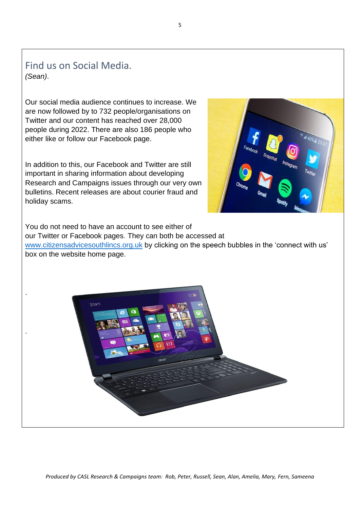Find us on Social Media. *(Sean)*.

.

.

Our social media audience continues to increase. We are now followed by to 732 people/organisations on Twitter and our content has reached over 28,000 people during 2022. There are also 186 people who either like or follow our Facebook page.

In addition to this, our Facebook and Twitter are still important in sharing information about developing Research and Campaigns issues through our very own bulletins. Recent releases are about courier fraud and holiday scams.



You do not need to have an account to see either of our Twitter or Facebook pages. They can both be accessed at [www.citizensadvicesouthlincs.org.uk](about:blank) by clicking on the speech bubbles in the 'connect with us' box on the website home page.